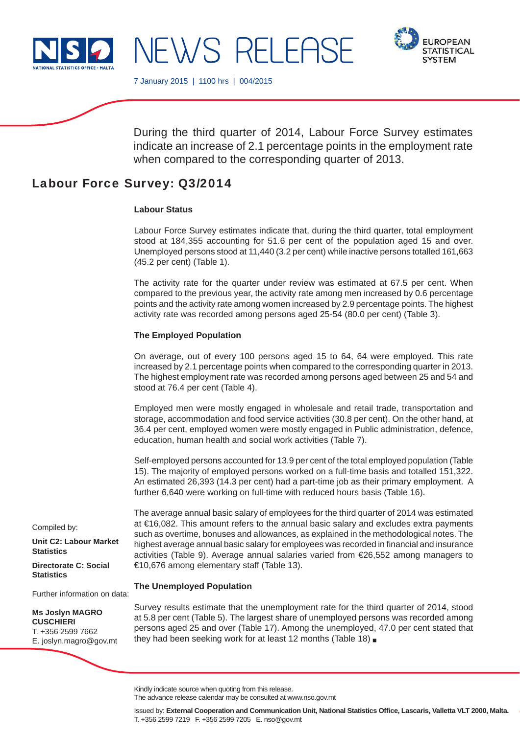



7 January 2015 | 1100 hrs | 004/2015

NEWS RELEASE

During the third quarter of 2014, Labour Force Survey estimates indicate an increase of 2.1 percentage points in the employment rate when compared to the corresponding quarter of 2013.

# Labour Force Survey: Q3/2014

## **Labour Status**

Labour Force Survey estimates indicate that, during the third quarter, total employment stood at 184,355 accounting for 51.6 per cent of the population aged 15 and over. Unemployed persons stood at 11,440 (3.2 per cent) while inactive persons totalled 161,663 (45.2 per cent) (Table 1).

The activity rate for the quarter under review was estimated at 67.5 per cent. When compared to the previous year, the activity rate among men increased by 0.6 percentage points and the activity rate among women increased by 2.9 percentage points. The highest activity rate was recorded among persons aged 25-54 (80.0 per cent) (Table 3).

## **The Employed Population**

On average, out of every 100 persons aged 15 to 64, 64 were employed. This rate increased by 2.1 percentage points when compared to the corresponding quarter in 2013. The highest employment rate was recorded among persons aged between 25 and 54 and stood at 76.4 per cent (Table 4).

Employed men were mostly engaged in wholesale and retail trade, transportation and storage, accommodation and food service activities (30.8 per cent). On the other hand, at 36.4 per cent, employed women were mostly engaged in Public administration, defence, education, human health and social work activities (Table 7).

Self-employed persons accounted for 13.9 per cent of the total employed population (Table 15). The majority of employed persons worked on a full-time basis and totalled 151,322. An estimated 26,393 (14.3 per cent) had a part-time job as their primary employment. A further 6,640 were working on full-time with reduced hours basis (Table 16).

The average annual basic salary of employees for the third quarter of 2014 was estimated at €16,082. This amount refers to the annual basic salary and excludes extra payments such as overtime, bonuses and allowances, as explained in the methodological notes. The highest average annual basic salary for employees was recorded in financial and insurance activities (Table 9). Average annual salaries varied from €26,552 among managers to €10,676 among elementary staff (Table 13).

## **The Unemployed Population**

**Ms Joslyn MAGRO CUSCHIERI** T. +356 2599 7662 E. joslyn.magro@gov.mt

Further information on data:

**Unit C2: Labour Market** 

**Directorate C: Social** 

Compiled by:

**Statistics**

**Statistics**

Survey results estimate that the unemployment rate for the third quarter of 2014, stood at 5.8 per cent (Table 5). The largest share of unemployed persons was recorded among persons aged 25 and over (Table 17). Among the unemployed, 47.0 per cent stated that they had been seeking work for at least 12 months (Table 18)

The advance release calendar may be consulted at www.nso.gov.mt

Kindly indicate source when quoting from this release.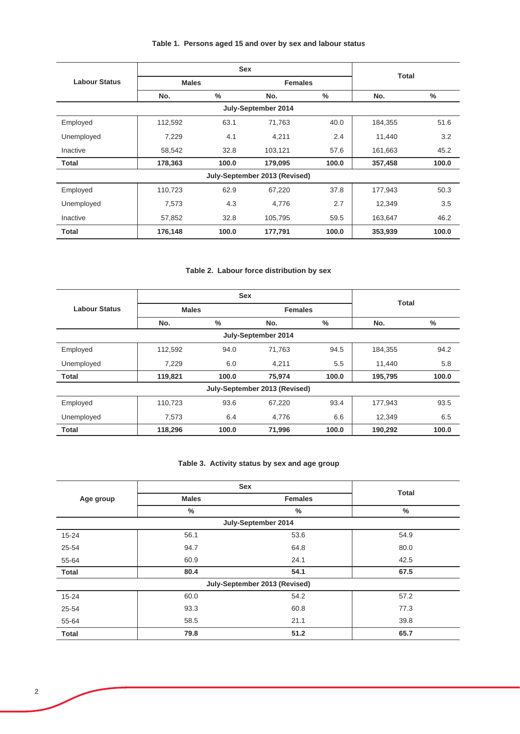# **Table 1. Persons aged 15 and over by sex and labour status**

|                      |              | <b>Sex</b> |                               | <b>Total</b>  |         |               |
|----------------------|--------------|------------|-------------------------------|---------------|---------|---------------|
| <b>Labour Status</b> | <b>Males</b> |            | <b>Females</b>                |               |         |               |
|                      | No.          | $\%$       | No.                           | $\frac{0}{0}$ | No.     | $\frac{9}{6}$ |
|                      |              |            | July-September 2014           |               |         |               |
| Employed             | 112,592      | 63.1       | 71,763                        | 40.0          | 184,355 | 51.6          |
| Unemployed           | 7,229        | 4.1        | 4,211                         | 2.4           | 11,440  | 3.2           |
| Inactive             | 58,542       | 32.8       | 103,121                       | 57.6          | 161,663 | 45.2          |
| Total                | 178,363      | 100.0      | 179,095                       | 100.0         | 357,458 | 100.0         |
|                      |              |            | July-September 2013 (Revised) |               |         |               |
| Employed             | 110,723      | 62.9       | 67,220                        | 37.8          | 177,943 | 50.3          |
| Unemployed           | 7,573        | 4.3        | 4,776                         | 2.7           | 12.349  | 3.5           |
| Inactive             | 57,852       | 32.8       | 105,795                       | 59.5          | 163,647 | 46.2          |
| Total                | 176,148      | 100.0      | 177,791                       | 100.0         | 353,939 | 100.0         |

# **Table 2. Labour force distribution by sex**

|                      |              | <b>Sex</b> |                               |       |         |              |  |
|----------------------|--------------|------------|-------------------------------|-------|---------|--------------|--|
| <b>Labour Status</b> | <b>Males</b> |            | <b>Females</b>                |       |         | <b>Total</b> |  |
|                      | No.          | %          | No.                           | $\%$  | No.     | %            |  |
|                      |              |            | July-September 2014           |       |         |              |  |
| Employed             | 112,592      | 94.0       | 71.763                        | 94.5  | 184,355 | 94.2         |  |
| Unemployed           | 7,229        | 6.0        | 4.211                         | 5.5   | 11,440  | 5.8          |  |
| <b>Total</b>         | 119,821      | 100.0      | 75,974                        | 100.0 | 195,795 | 100.0        |  |
|                      |              |            | July-September 2013 (Revised) |       |         |              |  |
| Employed             | 110,723      | 93.6       | 67,220                        | 93.4  | 177.943 | 93.5         |  |
| Unemployed           | 7,573        | 6.4        | 4,776                         | 6.6   | 12,349  | 6.5          |  |
| <b>Total</b>         | 118,296      | 100.0      | 71.996                        | 100.0 | 190,292 | 100.0        |  |

## **Table 3. Activity status by sex and age group**

|              |              | <b>Sex</b>                    | <b>Total</b>  |
|--------------|--------------|-------------------------------|---------------|
| Age group    | <b>Males</b> | <b>Females</b>                |               |
|              | $\%$         | $\%$                          | $\frac{0}{0}$ |
|              |              | July-September 2014           |               |
| $15 - 24$    | 56.1         | 53.6                          | 54.9          |
| 25-54        | 94.7         | 64.8                          | 80.0          |
| 55-64        | 60.9         | 24.1                          | 42.5          |
| <b>Total</b> | 80.4         | 54.1                          | 67.5          |
|              |              | July-September 2013 (Revised) |               |
| $15 - 24$    | 60.0         | 54.2                          | 57.2          |
| 25-54        | 93.3         | 60.8                          | 77.3          |
| 55-64        | 58.5         | 21.1                          | 39.8          |
| <b>Total</b> | 79.8         | 51.2                          | 65.7          |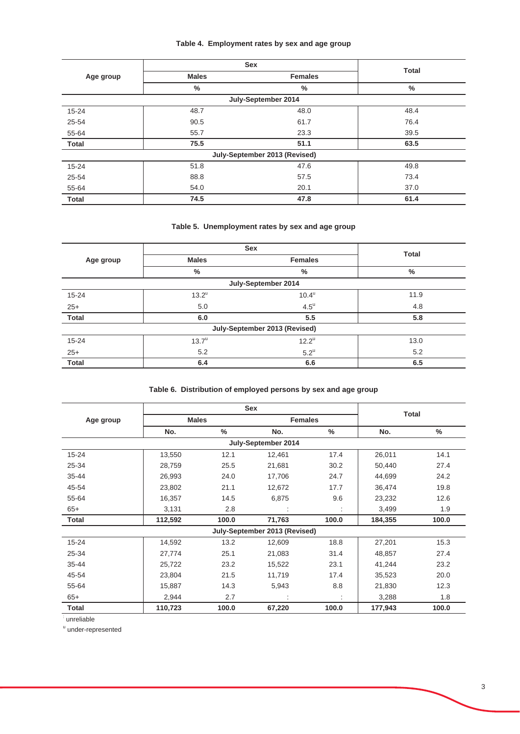# **Table 4. Employment rates by sex and age group**

|              |              | Sex                           |              |
|--------------|--------------|-------------------------------|--------------|
| Age group    | <b>Males</b> | <b>Females</b>                | <b>Total</b> |
|              | $\%$         | $\%$                          | $\%$         |
|              |              | July-September 2014           |              |
| $15 - 24$    | 48.7         | 48.0                          | 48.4         |
| 25-54        | 90.5         | 61.7                          | 76.4         |
| 55-64        | 55.7         | 23.3                          | 39.5         |
| <b>Total</b> | 75.5         | 51.1                          | 63.5         |
|              |              | July-September 2013 (Revised) |              |
| $15 - 24$    | 51.8         | 47.6                          | 49.8         |
| 25-54        | 88.8         | 57.5                          | 73.4         |
| 55-64        | 54.0         | 20.1                          | 37.0         |
| <b>Total</b> | 74.5         | 47.8                          | 61.4         |

## **Table 5. Unemployment rates by sex and age group**

|              |                     | <b>Sex</b>                    |              |
|--------------|---------------------|-------------------------------|--------------|
| Age group    | <b>Males</b>        | <b>Females</b>                | <b>Total</b> |
|              | %                   | %                             | $\%$         |
|              |                     | July-September 2014           |              |
| $15 - 24$    | $13.2^u$            | $10.4^u$                      | 11.9         |
| $25+$        | 5.0                 | $4.5^{\mathrm{u}}$            | 4.8          |
| <b>Total</b> | 6.0                 | 5.5                           | 5.8          |
|              |                     | July-September 2013 (Revised) |              |
| $15 - 24$    | $13.7^{\mathrm{u}}$ | $12.2^{\mathrm{u}}$           | 13.0         |
| $25+$        | 5.2                 | $5.2^{\mathrm{u}}$            | 5.2          |
| <b>Total</b> | 6.4                 | 6.6                           | 6.5          |

# **Table 6. Distribution of employed persons by sex and age group**

|              |                                |       | <b>Sex</b>                    |       |              |       |
|--------------|--------------------------------|-------|-------------------------------|-------|--------------|-------|
| Age group    | <b>Males</b><br><b>Females</b> |       |                               |       | <b>Total</b> |       |
|              | No.                            | $\%$  | No.                           | %     | No.          | $\%$  |
|              |                                |       | July-September 2014           |       |              |       |
| $15 - 24$    | 13,550                         | 12.1  | 12,461                        | 17.4  | 26,011       | 14.1  |
| 25-34        | 28,759                         | 25.5  | 21,681                        | 30.2  | 50,440       | 27.4  |
| $35 - 44$    | 26,993                         | 24.0  | 17,706                        | 24.7  | 44,699       | 24.2  |
| 45-54        | 23,802                         | 21.1  | 12,672                        | 17.7  | 36,474       | 19.8  |
| 55-64        | 16,357                         | 14.5  | 6,875                         | 9.6   | 23,232       | 12.6  |
| $65+$        | 3,131                          | 2.8   |                               |       | 3,499        | 1.9   |
| <b>Total</b> | 112,592                        | 100.0 | 71,763                        | 100.0 | 184,355      | 100.0 |
|              |                                |       | July-September 2013 (Revised) |       |              |       |
| $15 - 24$    | 14,592                         | 13.2  | 12,609                        | 18.8  | 27,201       | 15.3  |
| 25-34        | 27,774                         | 25.1  | 21,083                        | 31.4  | 48,857       | 27.4  |
| $35 - 44$    | 25,722                         | 23.2  | 15,522                        | 23.1  | 41,244       | 23.2  |
| 45-54        | 23,804                         | 21.5  | 11,719                        | 17.4  | 35,523       | 20.0  |
| 55-64        | 15,887                         | 14.3  | 5,943                         | 8.8   | 21,830       | 12.3  |
| $65+$        | 2,944                          | 2.7   |                               |       | 3,288        | 1.8   |
| <b>Total</b> | 110,723                        | 100.0 | 67,220                        | 100.0 | 177,943      | 100.0 |

: unreliable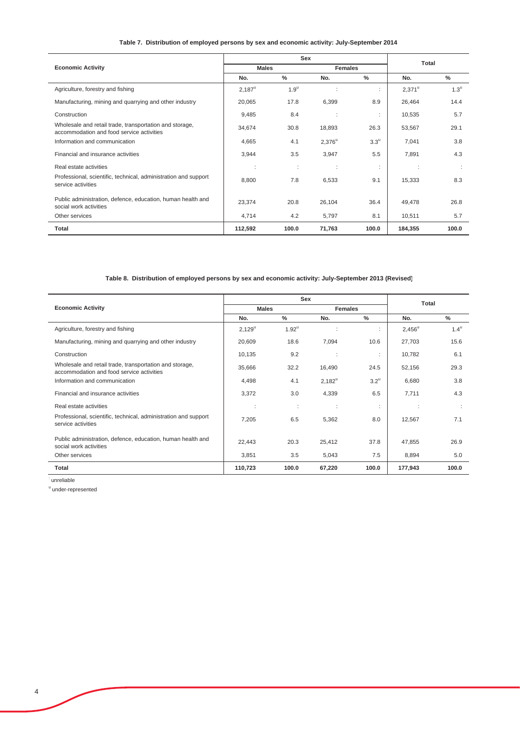## **Table 7. Distribution of employed persons by sex and economic activity: July-September 2014**

|                                                                                                      |                      | Sex                | Total          |                   |                 |                    |
|------------------------------------------------------------------------------------------------------|----------------------|--------------------|----------------|-------------------|-----------------|--------------------|
| <b>Economic Activity</b>                                                                             | <b>Males</b>         |                    | <b>Females</b> |                   |                 |                    |
|                                                                                                      | No.                  | $\%$               | No.            | $\frac{0}{0}$     | No.             | $\frac{0}{0}$      |
| Agriculture, forestry and fishing                                                                    | $2,187^{\mathrm{u}}$ | $1.9^{\mathrm{u}}$ |                |                   | $2,371^{\circ}$ | $1.3^{\mathrm{u}}$ |
| Manufacturing, mining and quarrying and other industry                                               | 20,065               | 17.8               | 6,399          | 8.9               | 26,464          | 14.4               |
| Construction                                                                                         | 9,485                | 8.4                |                |                   | 10,535          | 5.7                |
| Wholesale and retail trade, transportation and storage,<br>accommodation and food service activities | 34,674               | 30.8               | 18,893         | 26.3              | 53,567          | 29.1               |
| Information and communication                                                                        | 4,665                | 4.1                | $2,376^u$      | $3.3^{\circ}$     | 7,041           | 3.8                |
| Financial and insurance activities                                                                   | 3,944                | 3.5                | 3,947          | 5.5               | 7,891           | 4.3                |
| Real estate activities                                                                               | ٠<br>٠               | ÷                  | ÷              | ٠<br>$\mathbf{r}$ | $\cdot$         |                    |
| Professional, scientific, technical, administration and support<br>service activities                | 8,800                | 7.8                | 6,533          | 9.1               | 15,333          | 8.3                |
| Public administration, defence, education, human health and<br>social work activities                | 23,374               | 20.8               | 26,104         | 36.4              | 49,478          | 26.8               |
| Other services                                                                                       | 4,714                | 4.2                | 5,797          | 8.1               | 10,511          | 5.7                |
| Total                                                                                                | 112,592              | 100.0              | 71,763         | 100.0             | 184,355         | 100.0              |

## **Table 8. Distribution of employed persons by sex and economic activity: July-September 2013 (Revised)**

|                                                                                                      |                         | Sex           |                |                    | Total           |                    |
|------------------------------------------------------------------------------------------------------|-------------------------|---------------|----------------|--------------------|-----------------|--------------------|
| <b>Economic Activity</b>                                                                             | <b>Males</b>            |               | <b>Females</b> |                    |                 |                    |
|                                                                                                      | No.                     | $\frac{9}{6}$ | No.            | $\frac{9}{6}$      | No.             | $\frac{0}{2}$      |
| Agriculture, forestry and fishing                                                                    | $2,129^{\circ}$         | $1.92^u$      | t              |                    | $2,456^{\circ}$ | $1.4^{\mathrm{u}}$ |
| Manufacturing, mining and quarrying and other industry                                               | 20,609                  | 18.6          | 7,094          | 10.6               | 27,703          | 15.6               |
| Construction                                                                                         | 10,135                  | 9.2           |                |                    | 10,782          | 6.1                |
| Wholesale and retail trade, transportation and storage,<br>accommodation and food service activities | 35,666                  | 32.2          | 16,490         | 24.5               | 52,156          | 29.3               |
| Information and communication                                                                        | 4,498                   | 4.1           | $2,182^u$      | $3.2^{\mathrm{u}}$ | 6,680           | 3.8                |
| Financial and insurance activities                                                                   | 3,372                   | 3.0           | 4,339          | 6.5                | 7,711           | 4.3                |
| Real estate activities                                                                               | $\cdot$<br>$\mathbf{r}$ | ÷             | ÷              | $\mathbf{r}$       | ÷               |                    |
| Professional, scientific, technical, administration and support<br>service activities                | 7,205                   | 6.5           | 5,362          | 8.0                | 12,567          | 7.1                |
| Public administration, defence, education, human health and<br>social work activities                | 22,443                  | 20.3          | 25,412         | 37.8               | 47,855          | 26.9               |
| Other services                                                                                       | 3,851                   | 3.5           | 5,043          | 7.5                | 8,894           | 5.0                |
| Total                                                                                                | 110,723                 | 100.0         | 67,220         | 100.0              | 177,943         | 100.0              |

: unreliable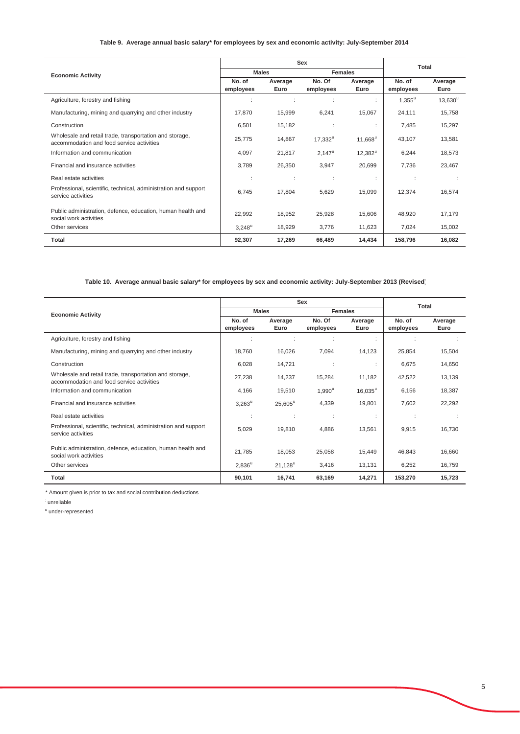## **Table 9. Average annual basic salary\* for employees by sex and economic activity: July-September 2014**

|                                                                                                      |                      |                 | Sex                 |                       | Total               |                  |
|------------------------------------------------------------------------------------------------------|----------------------|-----------------|---------------------|-----------------------|---------------------|------------------|
| <b>Economic Activity</b>                                                                             | <b>Males</b>         |                 | <b>Females</b>      |                       |                     |                  |
|                                                                                                      | No. of<br>employees  | Average<br>Euro | No. Of<br>employees | Average<br>Euro       | No. of<br>employees | Average<br>Euro  |
| Agriculture, forestry and fishing                                                                    |                      |                 |                     |                       | $1,355^{\rm u}$     | $13,630^{\circ}$ |
| Manufacturing, mining and quarrying and other industry                                               | 17,870               | 15,999          | 6,241               | 15,067                | 24,111              | 15,758           |
| Construction                                                                                         | 6,501                | 15,182          | ÷                   |                       | 7,485               | 15,297           |
| Wholesale and retail trade, transportation and storage,<br>accommodation and food service activities | 25,775               | 14,867          | $17,332^u$          | $11,668^{\circ}$      | 43,107              | 13,581           |
| Information and communication                                                                        | 4,097                | 21,817          | $2,147^{\circ}$     | $12,382^{\mathrm{u}}$ | 6,244               | 18,573           |
| Financial and insurance activities                                                                   | 3,789                | 26,350          | 3,947               | 20,699                | 7,736               | 23,467           |
| Real estate activities                                                                               | ÷                    |                 | ÷                   | ÷                     | ÷                   |                  |
| Professional, scientific, technical, administration and support<br>service activities                | 6,745                | 17,804          | 5,629               | 15,099                | 12,374              | 16,574           |
| Public administration, defence, education, human health and<br>social work activities                | 22,992               | 18,952          | 25,928              | 15,606                | 48,920              | 17,179           |
| Other services                                                                                       | $3,248^{\mathrm{u}}$ | 18,929          | 3,776               | 11,623                | 7,024               | 15,002           |
| <b>Total</b>                                                                                         | 92,307               | 17,269          | 66,489              | 14,434                | 158,796             | 16,082           |

## **Table 10. Average annual basic salary\* for employees by sex and economic activity: July-September 2013 (Revised)**

|                                                                                                      |                      | Sex              |                     |                  |                     | <b>Total</b>    |  |
|------------------------------------------------------------------------------------------------------|----------------------|------------------|---------------------|------------------|---------------------|-----------------|--|
| <b>Economic Activity</b>                                                                             |                      | <b>Males</b>     |                     | <b>Females</b>   |                     |                 |  |
|                                                                                                      | No. of<br>employees  | Average<br>Euro  | No. Of<br>employees | Average<br>Euro  | No. of<br>employees | Average<br>Euro |  |
| Agriculture, forestry and fishing                                                                    |                      | ÷                |                     | ÷                |                     |                 |  |
| Manufacturing, mining and quarrying and other industry                                               | 18,760               | 16,026           | 7,094               | 14,123           | 25,854              | 15,504          |  |
| Construction                                                                                         | 6,028                | 14,721           |                     |                  | 6,675               | 14,650          |  |
| Wholesale and retail trade, transportation and storage,<br>accommodation and food service activities | 27,238               | 14,237           | 15,284              | 11,182           | 42,522              | 13,139          |  |
| Information and communication                                                                        | 4,166                | 19,510           | $1,990^u$           | $16,035^{\circ}$ | 6,156               | 18,387          |  |
| Financial and insurance activities                                                                   | $3,263^{\mathrm{u}}$ | $25,605^{\circ}$ | 4,339               | 19,801           | 7,602               | 22,292          |  |
| Real estate activities                                                                               |                      | ÷                | ٠.                  |                  |                     |                 |  |
| Professional, scientific, technical, administration and support<br>service activities                | 5,029                | 19,810           | 4,886               | 13,561           | 9,915               | 16,730          |  |
| Public administration, defence, education, human health and<br>social work activities                | 21,785               | 18,053           | 25,058              | 15,449           | 46,843              | 16,660          |  |
| Other services                                                                                       | $2,836^u$            | $21,128^u$       | 3,416               | 13,131           | 6,252               | 16,759          |  |
| Total                                                                                                | 90,101               | 16,741           | 63,169              | 14,271           | 153,270             | 15,723          |  |

\* Amount given is prior to tax and social contribution deductions

: unreliable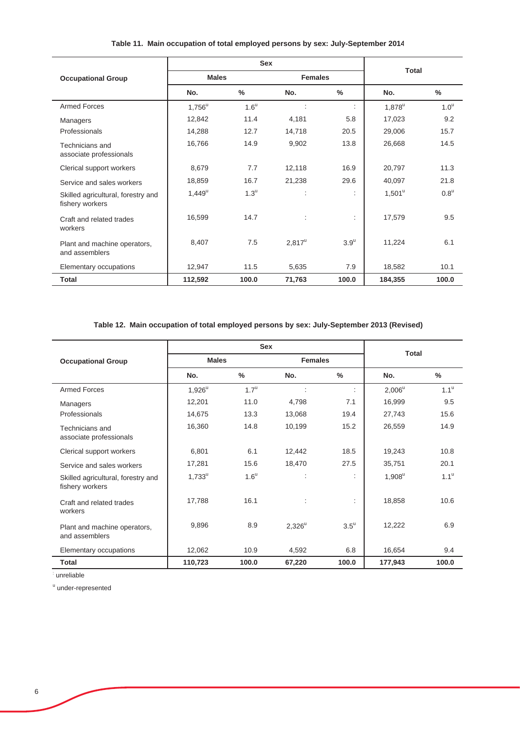|  |  |  |  | Table 11. Main occupation of total employed persons by sex: July-September 2014 |
|--|--|--|--|---------------------------------------------------------------------------------|
|--|--|--|--|---------------------------------------------------------------------------------|

|                                                       |                 | Sex                |                |                      |                 |                    |
|-------------------------------------------------------|-----------------|--------------------|----------------|----------------------|-----------------|--------------------|
| <b>Occupational Group</b>                             | <b>Males</b>    |                    | <b>Females</b> |                      | <b>Total</b>    |                    |
|                                                       | No.             | $\frac{0}{0}$      | No.            | $\frac{0}{0}$        | No.             | $\%$               |
| <b>Armed Forces</b>                                   | $1,756^{\circ}$ | $1.6^{\mathrm{u}}$ |                | $\ddot{\phantom{a}}$ | $1,878^u$       | 1.0 <sup>u</sup>   |
| Managers                                              | 12,842          | 11.4               | 4,181          | 5.8                  | 17,023          | 9.2                |
| Professionals                                         | 14,288          | 12.7               | 14,718         | 20.5                 | 29,006          | 15.7               |
| Technicians and<br>associate professionals            | 16,766          | 14.9               | 9,902          | 13.8                 | 26,668          | 14.5               |
| Clerical support workers                              | 8,679           | 7.7                | 12,118         | 16.9                 | 20,797          | 11.3               |
| Service and sales workers                             | 18,859          | 16.7               | 21,238         | 29.6                 | 40,097          | 21.8               |
| Skilled agricultural, forestry and<br>fishery workers | $1,449^u$       | $1.3^{\mathrm{u}}$ |                | $\ddot{\phantom{a}}$ | $1,501^{\circ}$ | $0.8^{\mathrm{u}}$ |
| Craft and related trades<br>workers                   | 16,599          | 14.7               | t              | ÷.                   | 17,579          | 9.5                |
| Plant and machine operators,<br>and assemblers        | 8,407           | 7.5                | $2,817^u$      | $3.9^{\mathrm{u}}$   | 11,224          | 6.1                |
| Elementary occupations                                | 12,947          | 11.5               | 5,635          | 7.9                  | 18,582          | 10.1               |
| <b>Total</b>                                          | 112,592         | 100.0              | 71,763         | 100.0                | 184,355         | 100.0              |

**Table 12. Main occupation of total employed persons by sex: July-September 2013 (Revised)**

|                                                       |              | <b>Sex</b>         |                |                    |              |                    |
|-------------------------------------------------------|--------------|--------------------|----------------|--------------------|--------------|--------------------|
| <b>Occupational Group</b>                             | <b>Males</b> |                    | <b>Females</b> |                    | <b>Total</b> |                    |
|                                                       | No.          | $\%$               | No.            | $\frac{0}{0}$      | No.          | $\frac{0}{0}$      |
| <b>Armed Forces</b>                                   | $1,926^u$    | $1.7^{\mathrm{u}}$ | t              | ÷                  | $2,006^u$    | 1.1 <sup>u</sup>   |
| Managers                                              | 12,201       | 11.0               | 4,798          | 7.1                | 16,999       | 9.5                |
| Professionals                                         | 14,675       | 13.3               | 13,068         | 19.4               | 27,743       | 15.6               |
| Technicians and<br>associate professionals            | 16,360       | 14.8               | 10,199         | 15.2               | 26,559       | 14.9               |
| Clerical support workers                              | 6,801        | 6.1                | 12,442         | 18.5               | 19,243       | 10.8               |
| Service and sales workers                             | 17,281       | 15.6               | 18,470         | 27.5               | 35,751       | 20.1               |
| Skilled agricultural, forestry and<br>fishery workers | $1,733^u$    | $1.6^{\mathrm{u}}$ | t              | ÷                  | $1,908^u$    | $1.1^{\mathrm{u}}$ |
| Craft and related trades<br>workers                   | 17,788       | 16.1               | ÷              | ÷                  | 18,858       | 10.6               |
| Plant and machine operators,<br>and assemblers        | 9,896        | 8.9                | $2,326^u$      | $3.5^{\mathrm{u}}$ | 12,222       | 6.9                |
| Elementary occupations                                | 12,062       | 10.9               | 4,592          | 6.8                | 16,654       | 9.4                |
| <b>Total</b>                                          | 110,723      | 100.0              | 67,220         | 100.0              | 177,943      | 100.0              |

: unreliable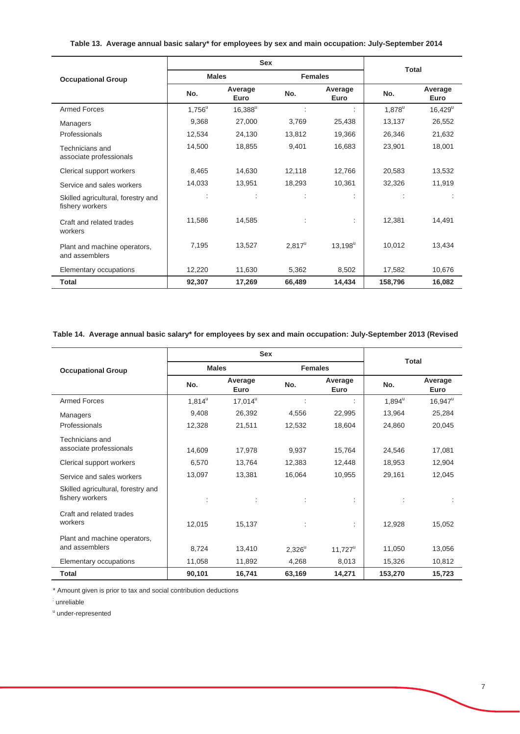## **Table 13. Average annual basic salary\* for employees by sex and main occupation: July-September 2014**

|                                                       |                        | <b>Sex</b>           | <b>Total</b>   |                 |           |                       |  |
|-------------------------------------------------------|------------------------|----------------------|----------------|-----------------|-----------|-----------------------|--|
| <b>Occupational Group</b>                             | <b>Males</b>           |                      | <b>Females</b> |                 |           |                       |  |
|                                                       | Average<br>No.<br>Euro |                      | No.            | Average<br>Euro | No.       | Average<br>Euro       |  |
| <b>Armed Forces</b>                                   | $1,756^u$              | $16,388^u$           |                | ÷               | $1,878^u$ | $16,429^{\mathrm{u}}$ |  |
| Managers                                              | 9,368                  | 27,000               | 3,769          | 25,438          | 13,137    | 26,552                |  |
| Professionals                                         | 12,534                 | 24,130               | 13,812         | 19,366          | 26,346    | 21,632                |  |
| Technicians and<br>associate professionals            | 14,500                 | 18,855               | 9,401          | 16,683          | 23,901    | 18,001                |  |
| Clerical support workers                              | 8,465                  | 14,630               | 12,118         | 12,766          | 20,583    | 13,532                |  |
| Service and sales workers                             | 14,033                 | 13,951               | 18,293         | 10,361          | 32,326    | 11,919                |  |
| Skilled agricultural, forestry and<br>fishery workers |                        | $\ddot{\phantom{a}}$ |                | ÷               |           | ÷                     |  |
| Craft and related trades<br>workers                   | 11,586                 | 14,585               |                | ÷               | 12,381    | 14,491                |  |
| Plant and machine operators,<br>and assemblers        | 7,195                  | 13,527               | $2,817^u$      | $13,198^u$      | 10,012    | 13,434                |  |
| Elementary occupations                                | 12,220                 | 11,630               | 5,362          | 8,502           | 17,582    | 10,676                |  |
| <b>Total</b>                                          | 92,307                 | 17,269               | 66,489         | 14,434          | 158,796   | 16,082                |  |

**Table 14. Average annual basic salary\* for employees by sex and main occupation: July-September 2013 (Revised**

|                                                       |              | <b>Sex</b>       | <b>Total</b>   |                       |                      |                 |  |
|-------------------------------------------------------|--------------|------------------|----------------|-----------------------|----------------------|-----------------|--|
| <b>Occupational Group</b>                             | <b>Males</b> |                  | <b>Females</b> |                       |                      |                 |  |
|                                                       | No.          | Average<br>Euro  | No.            | Average<br>Euro       |                      | Average<br>Euro |  |
| <b>Armed Forces</b>                                   | $1,814^u$    | $17,014^{\circ}$ |                |                       | $1,894^{\mathrm{u}}$ | $16.947^u$      |  |
| Managers                                              | 9,408        | 26,392           | 4,556          | 22,995                | 13,964               | 25,284          |  |
| Professionals                                         | 12,328       | 21,511           | 12,532         | 18,604                | 24,860               | 20,045          |  |
| Technicians and<br>associate professionals            | 14,609       | 17,978           | 9,937          | 15,764                | 24,546               | 17,081          |  |
| Clerical support workers                              | 6,570        | 13,764           | 12,383         | 12,448                | 18,953               | 12,904          |  |
| Service and sales workers                             | 13,097       | 13,381           | 16,064         | 10,955                | 29,161               | 12,045          |  |
| Skilled agricultural, forestry and<br>fishery workers |              |                  |                |                       |                      |                 |  |
| Craft and related trades<br>workers                   | 12,015       | 15,137           |                |                       | 12,928               | 15,052          |  |
| Plant and machine operators,<br>and assemblers        | 8,724        | 13,410           | $2,326^u$      | $11,727^{\mathrm{u}}$ | 11,050               | 13,056          |  |
| Elementary occupations                                | 11,058       | 11,892           | 4,268          | 8,013                 | 15,326               | 10,812          |  |
| <b>Total</b>                                          | 90,101       | 16,741           | 63,169         | 14,271                | 153,270              | 15,723          |  |

\* Amount given is prior to tax and social contribution deductions

: unreliable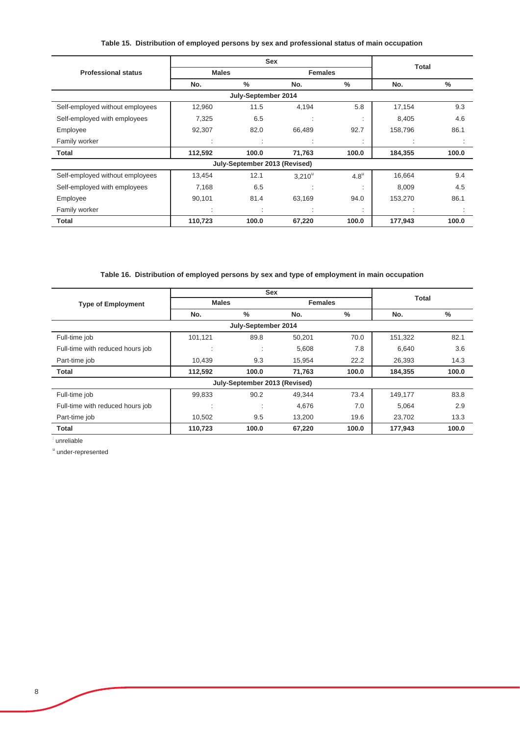## **Table 15. Distribution of employed persons by sex and professional status of main occupation**

|                                 |              | <b>Sex</b>                    |                |                  |              |               |
|---------------------------------|--------------|-------------------------------|----------------|------------------|--------------|---------------|
| <b>Professional status</b>      | <b>Males</b> |                               | <b>Females</b> |                  | <b>Total</b> |               |
|                                 | No.          | $\frac{0}{0}$                 | No.            | %                | No.          | $\frac{0}{0}$ |
|                                 |              | July-September 2014           |                |                  |              |               |
| Self-employed without employees | 12,960       | 11.5                          | 4,194          | 5.8              | 17,154       | 9.3           |
| Self-employed with employees    | 7,325        | 6.5                           | $\mathbf{r}$   |                  | 8,405        | 4.6           |
| Employee                        | 92,307       | 82.0                          | 66,489         | 92.7             | 158,796      | 86.1          |
| Family worker                   |              | $\sim$                        |                | ٠                |              |               |
| Total                           | 112,592      | 100.0                         | 71,763         | 100.0            | 184,355      | 100.0         |
|                                 |              | July-September 2013 (Revised) |                |                  |              |               |
| Self-employed without employees | 13,454       | 12.1                          | $3.210^u$      | 4.8 <sup>u</sup> | 16,664       | 9.4           |
| Self-employed with employees    | 7,168        | 6.5                           | ٠.             | ٠                | 8,009        | 4.5           |
| Employee                        | 90,101       | 81.4                          | 63,169         | 94.0             | 153,270      | 86.1          |
| Family worker                   |              |                               |                | $\cdot$          |              |               |
| Total                           | 110,723      | 100.0                         | 67,220         | 100.0            | 177,943      | 100.0         |

## **Table 16. Distribution of employed persons by sex and type of employment in main occupation**

|                                  | <b>Sex</b>   |                               |                |               | <b>Total</b> |               |
|----------------------------------|--------------|-------------------------------|----------------|---------------|--------------|---------------|
| <b>Type of Employment</b>        | <b>Males</b> |                               | <b>Females</b> |               |              |               |
|                                  | No.          | %                             | No.            | $\frac{0}{0}$ | No.          | $\frac{0}{0}$ |
|                                  |              | July-September 2014           |                |               |              |               |
| Full-time job                    | 101,121      | 89.8                          | 50,201         | 70.0          | 151,322      | 82.1          |
| Full-time with reduced hours job | ٠<br>$\cdot$ | $\cdot$<br>×.                 | 5,608          | 7.8           | 6,640        | 3.6           |
| Part-time job                    | 10,439       | 9.3                           | 15,954         | 22.2          | 26,393       | 14.3          |
| Total                            | 112,592      | 100.0                         | 71,763         | 100.0         | 184,355      | 100.0         |
|                                  |              | July-September 2013 (Revised) |                |               |              |               |
| Full-time job                    | 99,833       | 90.2                          | 49,344         | 73.4          | 149,177      | 83.8          |
| Full-time with reduced hours job | ٠<br>٠.      | ٠<br>×.                       | 4,676          | 7.0           | 5.064        | 2.9           |
| Part-time job                    | 10,502       | 9.5                           | 13,200         | 19.6          | 23,702       | 13.3          |
| <b>Total</b>                     | 110,723      | 100.0                         | 67,220         | 100.0         | 177,943      | 100.0         |

: unreliable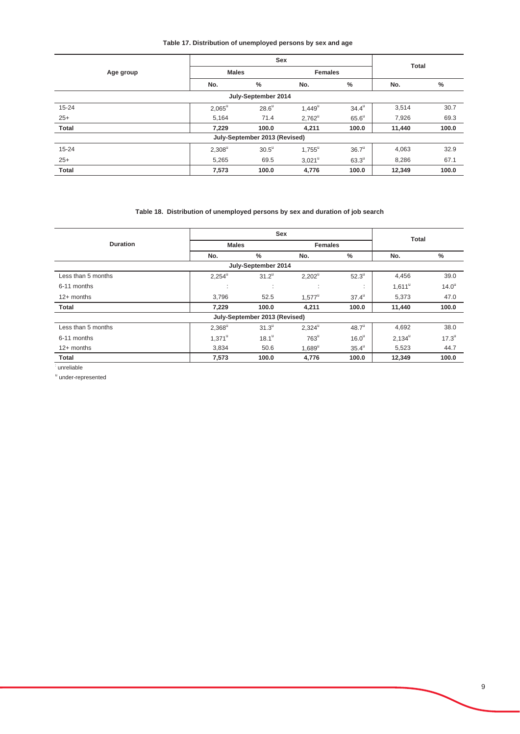## **Table 17. Distribution of unemployed persons by sex and age**

|                               | Sex          |                |                      |                   |              |       |  |
|-------------------------------|--------------|----------------|----------------------|-------------------|--------------|-------|--|
| Age group                     | <b>Males</b> |                | <b>Females</b>       |                   | <b>Total</b> |       |  |
|                               | No.          | %              | No.                  | $\%$              | No.          | $\%$  |  |
| July-September 2014           |              |                |                      |                   |              |       |  |
| $15 - 24$                     | $2,065^u$    | $28.6^u$       | $1,449^{\mathrm{u}}$ | $34.4^{\circ}$    | 3,514        | 30.7  |  |
| $25+$                         | 5,164        | 71.4           | $2,762^u$            | $65.6^\circ$      | 7,926        | 69.3  |  |
| <b>Total</b>                  | 7,229        | 100.0          | 4,211                | 100.0             | 11,440       | 100.0 |  |
| July-September 2013 (Revised) |              |                |                      |                   |              |       |  |
| $15 - 24$                     | $2,308^u$    | $30.5^{\circ}$ | $1,755^{\circ}$      | 36.7 <sup>u</sup> | 4,063        | 32.9  |  |
| $25+$                         | 5,265        | 69.5           | $3,021^u$            | $63.3^\circ$      | 8,286        | 67.1  |  |
| <b>Total</b>                  | 7,573        | 100.0          | 4,776                | 100.0             | 12,349       | 100.0 |  |

## **Table 18. Distribution of unemployed persons by sex and duration of job search**

|                     | <b>Sex</b>      |                               |                 |                     | <b>Total</b> |                   |  |  |
|---------------------|-----------------|-------------------------------|-----------------|---------------------|--------------|-------------------|--|--|
| <b>Duration</b>     | <b>Males</b>    |                               | <b>Females</b>  |                     |              |                   |  |  |
|                     | No.             | $\frac{0}{0}$                 | No.             | $\%$                | No.          | %                 |  |  |
| July-September 2014 |                 |                               |                 |                     |              |                   |  |  |
| Less than 5 months  | $2,254^{\circ}$ | $31.2^u$                      | $2,202^u$       | $52.3^{\mathrm{u}}$ | 4,456        | 39.0              |  |  |
| 6-11 months         | $\cdot$         | ٠<br>$\ddot{\phantom{a}}$     | ٠<br>$\cdot$    | $\mathbf{r}$        | $1,611^u$    | 14.0 <sup>u</sup> |  |  |
| $12+$ months        | 3,796           | 52.5                          | $1.577^{\circ}$ | $37.4^{\circ}$      | 5,373        | 47.0              |  |  |
| <b>Total</b>        | 7,229           | 100.0                         | 4,211           | 100.0               | 11,440       | 100.0             |  |  |
|                     |                 | July-September 2013 (Revised) |                 |                     |              |                   |  |  |
| Less than 5 months  | $2,368^u$       | $31.3^{\mathrm{u}}$           | $2,324^{\circ}$ | $48.7^{\mathrm{u}}$ | 4,692        | 38.0              |  |  |
| 6-11 months         | $1.371^{\circ}$ | $18.1^{\circ}$                | $763^u$         | 16.0 <sup>u</sup>   | $2.134^u$    | $17.3^{\circ}$    |  |  |
| $12+$ months        | 3,834           | 50.6                          | $1.689^u$       | $35.4^{\circ}$      | 5,523        | 44.7              |  |  |
| <b>Total</b>        | 7,573           | 100.0                         | 4,776           | 100.0               | 12,349       | 100.0             |  |  |

: unreliable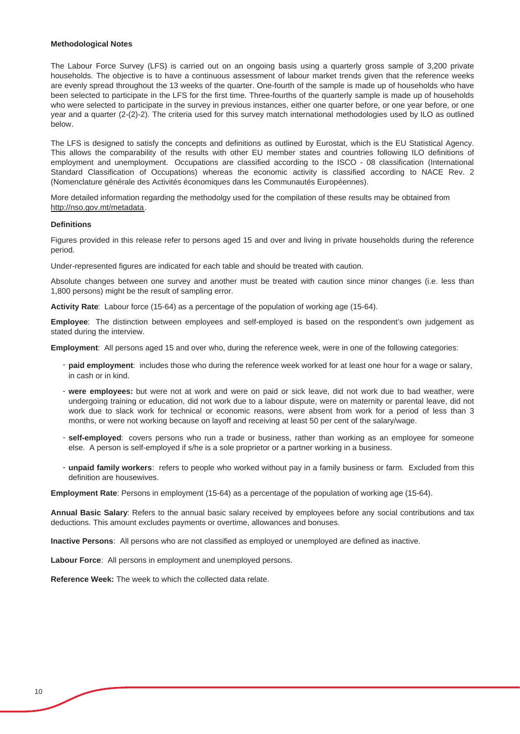#### **Methodological Notes**

The Labour Force Survey (LFS) is carried out on an ongoing basis using a quarterly gross sample of 3,200 private households. The objective is to have a continuous assessment of labour market trends given that the reference weeks are evenly spread throughout the 13 weeks of the quarter. One-fourth of the sample is made up of households who have been selected to participate in the LFS for the first time. Three-fourths of the quarterly sample is made up of households who were selected to participate in the survey in previous instances, either one quarter before, or one year before, or one year and a quarter (2-(2)-2). The criteria used for this survey match international methodologies used by ILO as outlined below.

The LFS is designed to satisfy the concepts and definitions as outlined by Eurostat, which is the EU Statistical Agency. This allows the comparability of the results with other EU member states and countries following ILO definitions of employment and unemployment. Occupations are classified according to the ISCO - 08 classification (International Standard Classification of Occupations) whereas the economic activity is classified according to NACE Rev. 2 (Nomenclature générale des Activités économiques dans les Communautés Européennes).

More detailed information regarding the methodolgy used for the compilation of these results may be obtained from http://nso.gov.mt/metadata.

#### **Definitions**

Figures provided in this release refer to persons aged 15 and over and living in private households during the reference period.

Under-represented figures are indicated for each table and should be treated with caution.

Absolute changes between one survey and another must be treated with caution since minor changes (i.e. less than 1,800 persons) might be the result of sampling error.

**Activity Rate**: Labour force (15-64) as a percentage of the population of working age (15-64).

**Employee**: The distinction between employees and self-employed is based on the respondent's own judgement as stated during the interview.

**Employment**: All persons aged 15 and over who, during the reference week, were in one of the following categories:

- **paid employment**: includes those who during the reference week worked for at least one hour for a wage or salary, in cash or in kind.
- **were employees:** but were not at work and were on paid or sick leave, did not work due to bad weather, were undergoing training or education, did not work due to a labour dispute, were on maternity or parental leave, did not work due to slack work for technical or economic reasons, were absent from work for a period of less than 3 months, or were not working because on layoff and receiving at least 50 per cent of the salary/wage.
- **self-employed**: covers persons who run a trade or business, rather than working as an employee for someone else. A person is self-employed if s/he is a sole proprietor or a partner working in a business.
- **unpaid family workers**: refers to people who worked without pay in a family business or farm. Excluded from this definition are housewives.

**Employment Rate**: Persons in employment (15-64) as a percentage of the population of working age (15-64).

**Annual Basic Salary**: Refers to the annual basic salary received by employees before any social contributions and tax deductions. This amount excludes payments or overtime, allowances and bonuses.

**Inactive Persons**: All persons who are not classified as employed or unemployed are defined as inactive.

**Labour Force**: All persons in employment and unemployed persons.

**Reference Week:** The week to which the collected data relate.